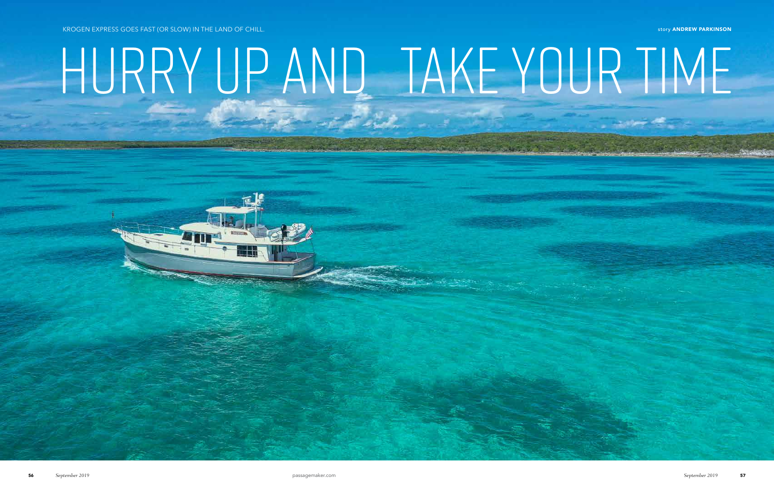story ANDREW PARKINSON

## Hurry Up and Take Your Time

KROGEN EXPRESS GOES FAST (OR SLOW) IN THE LAND OF CHILL.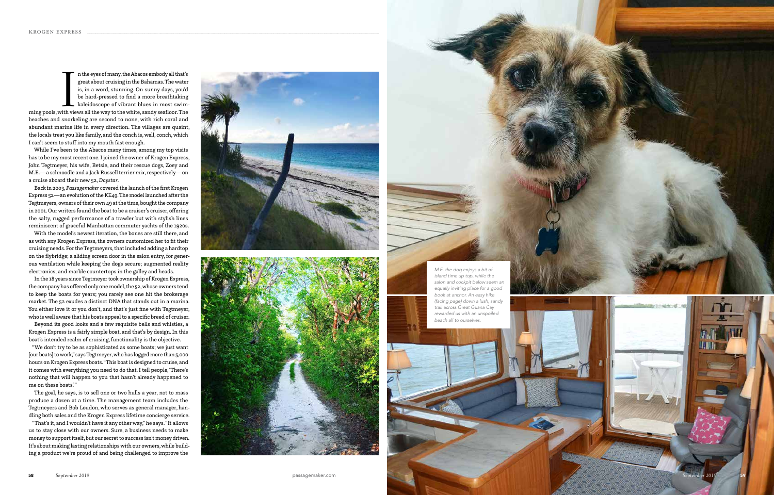Implementation of many, the Abacos embody all that's great about cruising in the Bahamas. The water is, in a word, stunning. On sunny days, you'd be hard-pressed to find a more breathtaking kaleidoscope of vibrant blues in n the eyes of many, the Abacos embody all that's great about cruising in the Bahamas. The water is, in a word, stunning. On sunny days, you'd be hard-pressed to find a more breathtaking kaleidoscope of vibrant blues in most swim beaches and snorkeling are second to none, with rich coral and abundant marine life in every direction. The villages are quaint, the locals treat you like family, and the conch is, well, conch, which I can't seem to stuff into my mouth fast enough.

While I've been to the Abacos many times, among my top visits has to be my most recent one. I joined the owner of Krogen Express, John Tegtmeyer, his wife, Betsie, and their rescue dogs, Zoey and M.E.—a schnoodle and a Jack Russell terrier mix, respectively—on a cruise aboard their new 52, *Daystar*.

Back in 2003, *Passagemaker* covered the launch of the first Krogen Express 52—an evolution of the KE49. The model launched after the Tegtmeyers, owners of their own 49 at the time, bought the company in 2001. Our writers found the boat to be a cruiser's cruiser, offering the salty, rugged performance of a trawler but with stylish lines reminiscent of graceful Manhattan commuter yachts of the 1920s.

With the model's newest iteration, the bones are still there, and as with any Krogen Express, the owners customized her to fit their cruising needs. For the Tegtmeyers, that included adding a hardtop on the flybridge; a sliding screen door in the salon entry, for gener ous ventilation while keeping the dogs secure; augmented reality electronics; and marble countertops in the galley and heads.

In the 18 years since Tegtmeyer took ownership of Krogen Express, the company has offered only one model, the 52, whose owners tend to keep the boats for years; you rarely see one hit the brokerage market. The 52 exudes a distinct DNA that stands out in a marina. You either love it or you don't, and that's just fine with Tegtmeyer, who is well aware that his boats appeal to a specific breed of cruiser.

Beyond its good looks and a few requisite bells and whistles, a Krogen Express is a fairly simple boat, and that's by design. In this boat's intended realm of cruising, functionality is the objective.

"We don't try to be as sophisticated as some boats; we just want [our boats] to work," says Tegtmeyer, who has logged more than 5,000 hours on Krogen Express boats. "This boat is designed to cruise, and it comes with everything you need to do that. I tell people, 'There's nothing that will happen to you that hasn't already happened to me on these boats.'"

The goal, he says, is to sell one or two hulls a year, not to mass produce a dozen at a time. The management team includes the Tegtmeyers and Bob Loudon, who serves as general manager, han dling both sales and the Krogen Express lifetime concierge service.

"That's it, and I wouldn't have it any other way," he says. "It allows us to stay close with our owners. Sure, a business needs to make money to support itself, but our secret to success isn't money driven. It's about making lasting relationships with our owners, while build ing a product we're proud of and being challenged to improve the





Andrew Parkinson

*M.E. the dog enjoys a bit of island time up top, while the salon and cockpit below seem an equally inviting place for a good book at anchor. An easy hike (facing page) down a lush, sandy trail across Great Guana Cay rewarded us with an unspoiled beach all to ourselves.*